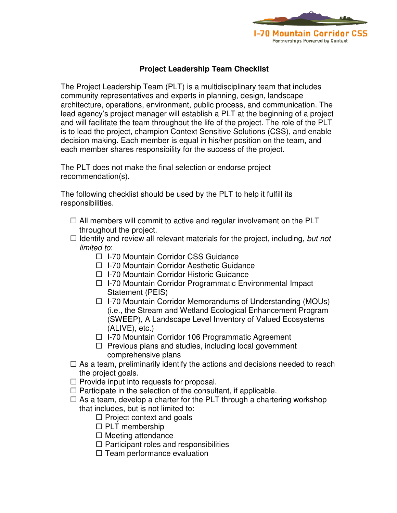

## **Project Leadership Team Checklist**

The Project Leadership Team (PLT) is a multidisciplinary team that includes community representatives and experts in planning, design, landscape architecture, operations, environment, public process, and communication. The lead agency's project manager will establish a PLT at the beginning of a project and will facilitate the team throughout the life of the project. The role of the PLT is to lead the project, champion Context Sensitive Solutions (CSS), and enable decision making. Each member is equal in his/her position on the team, and each member shares responsibility for the success of the project.

The PLT does not make the final selection or endorse project recommendation(s).

The following checklist should be used by the PLT to help it fulfill its responsibilities.

- $\Box$  All members will commit to active and regular involvement on the PLT throughout the project.
- $\Box$  Identify and review all relevant materials for the project, including, but not limited to:
	- □ I-70 Mountain Corridor CSS Guidance
	- □ I-70 Mountain Corridor Aesthetic Guidance
	- □ I-70 Mountain Corridor Historic Guidance
	- □ I-70 Mountain Corridor Programmatic Environmental Impact Statement (PEIS)
	- $\Box$  I-70 Mountain Corridor Memorandums of Understanding (MOUs) (i.e., the Stream and Wetland Ecological Enhancement Program (SWEEP), A Landscape Level Inventory of Valued Ecosystems (ALIVE), etc.)
	- $\Box$  I-70 Mountain Corridor 106 Programmatic Agreement
	- $\Box$  Previous plans and studies, including local government comprehensive plans
- $\Box$  As a team, preliminarily identify the actions and decisions needed to reach the project goals.
- $\Box$  Provide input into requests for proposal.
- $\Box$  Participate in the selection of the consultant, if applicable.
- $\Box$  As a team, develop a charter for the PLT through a chartering workshop that includes, but is not limited to:
	- $\Box$  Project context and goals
	- $\Box$  PLT membership
	- $\Box$  Meeting attendance
	- $\Box$  Participant roles and responsibilities
	- $\Box$  Team performance evaluation